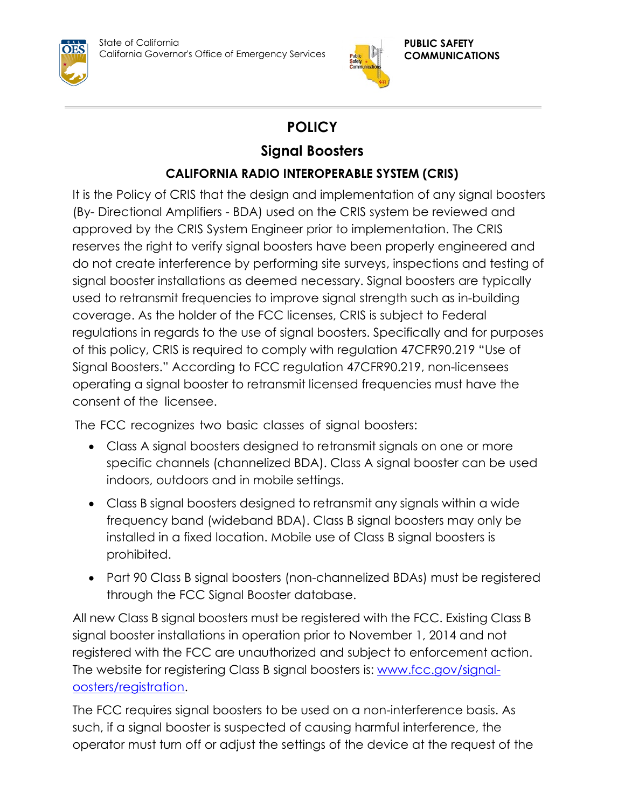State of California California Governor's Office of Emergency Services





## **POLICY**

## **Signal Boosters**

## **CALIFORNIA RADIO INTEROPERABLE SYSTEM (CRIS)**

It is the Policy of CRIS that the design and implementation of any signal boosters (By- Directional Amplifiers - BDA) used on the CRIS system be reviewed and approved by the CRIS System Engineer prior to implementation. The CRIS reserves the right to verify signal boosters have been properly engineered and do not create interference by performing site surveys, inspections and testing of signal booster installations as deemed necessary. Signal boosters are typically used to retransmit frequencies to improve signal strength such as in-building coverage. As the holder of the FCC licenses, CRIS is subject to Federal regulations in regards to the use of signal boosters. Specifically and for purposes of this policy, CRIS is required to comply with regulation 47CFR90.219 "Use of Signal Boosters." According to FCC regulation 47CFR90.219, non-licensees operating a signal booster to retransmit licensed frequencies must have the consent of the licensee.

The FCC recognizes two basic classes of signal boosters:

- Class A signal boosters designed to retransmit signals on one or more specific channels (channelized BDA). Class A signal booster can be used indoors, outdoors and in mobile settings.
- Class B signal boosters designed to retransmit any signals within a wide frequency band (wideband BDA). Class B signal boosters may only be installed in a fixed location. Mobile use of Class B signal boosters is prohibited.
- Part 90 Class B signal boosters (non-channelized BDAs) must be registered through the FCC Signal Booster database.

All new Class B signal boosters must be registered with the FCC. Existing Class B signal booster installations in operation prior to November 1, 2014 and not registered with the FCC are unauthorized and subject to enforcement action. The website for registering Class B signal boosters is: [www.fcc.gov/signal](http://www.fcc.gov/signal-oosters/registration)[oosters/registration.](http://www.fcc.gov/signal-oosters/registration)

The FCC requires signal boosters to be used on a non-interference basis. As such, if a signal booster is suspected of causing harmful interference, the operator must turn off or adjust the settings of the device at the request of the